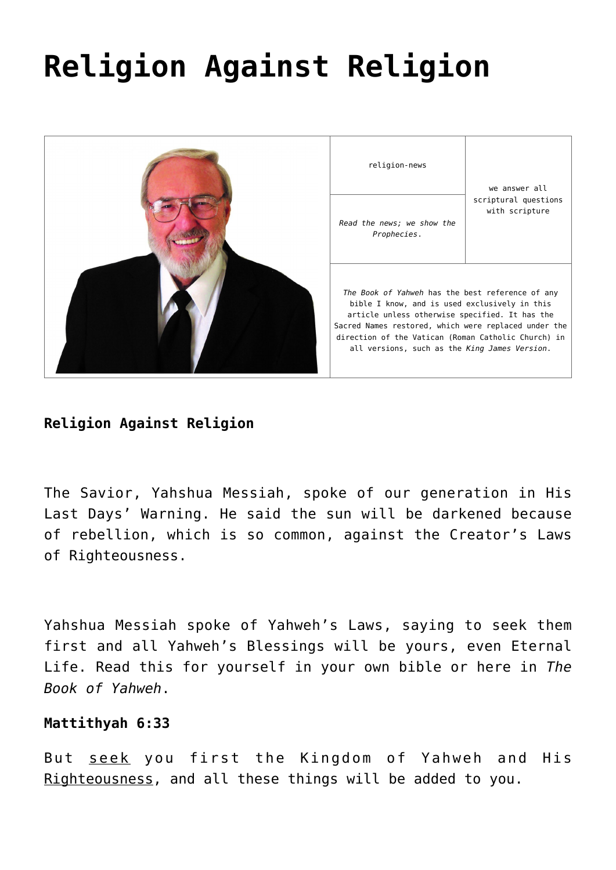# **[Religion Against Religion](https://yahwehsbranch.com/religion-against-religion/)**



**Religion Against Religion**

The Savior, Yahshua Messiah, spoke of our generation in His Last Days' Warning. He said the sun will be darkened because of rebellion, which is so common, against the Creator's Laws of Righteousness.

Yahshua Messiah spoke of Yahweh's Laws, saying to seek them first and all Yahweh's Blessings will be yours, even Eternal Life. Read this for yourself in your own bible or here in *The Book of Yahweh*.

# **Mattithyah 6:33**

But seek you first the Kingdom of Yahweh and His Righteousness, and all these things will be added to you.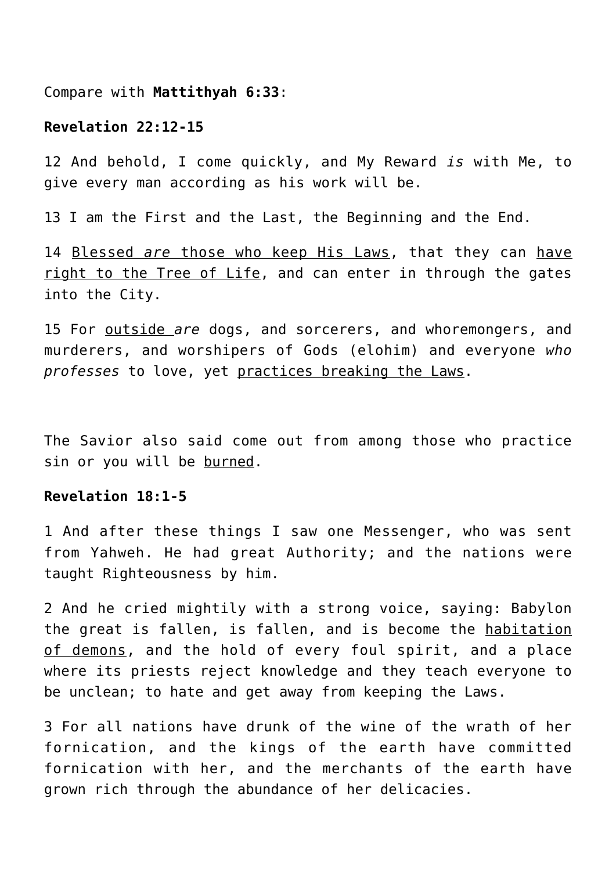Compare with **Mattithyah 6:33**:

# **Revelation 22:12-15**

12 And behold, I come quickly, and My Reward *is* with Me, to give every man according as his work will be.

13 I am the First and the Last, the Beginning and the End.

14 Blessed *are* those who keep His Laws, that they can have right to the Tree of Life, and can enter in through the gates into the City.

15 For outside *are* dogs, and sorcerers, and whoremongers, and murderers, and worshipers of Gods (elohim) and everyone *who professes* to love, yet practices breaking the Laws.

The Savior also said come out from among those who practice sin or you will be burned.

# **Revelation 18:1-5**

1 And after these things I saw one Messenger, who was sent from Yahweh. He had great Authority; and the nations were taught Righteousness by him.

2 And he cried mightily with a strong voice, saying: Babylon the great is fallen, is fallen, and is become the habitation of demons, and the hold of every foul spirit, and a place where its priests reject knowledge and they teach everyone to be unclean; to hate and get away from keeping the Laws.

3 For all nations have drunk of the wine of the wrath of her fornication, and the kings of the earth have committed fornication with her, and the merchants of the earth have grown rich through the abundance of her delicacies.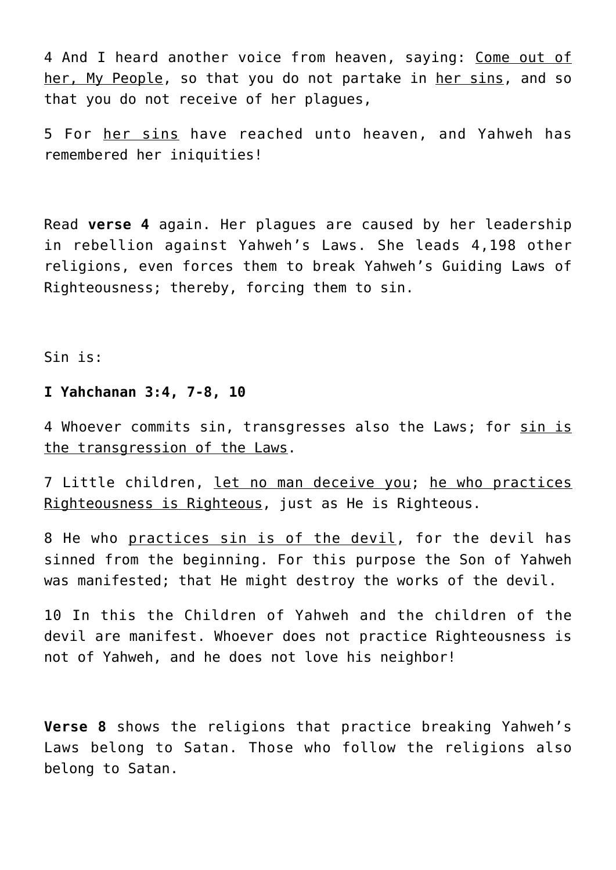4 And I heard another voice from heaven, saying: Come out of her, My People, so that you do not partake in her sins, and so that you do not receive of her plagues,

5 For her sins have reached unto heaven, and Yahweh has remembered her iniquities!

Read **verse 4** again. Her plagues are caused by her leadership in rebellion against Yahweh's Laws. She leads 4,198 other religions, even forces them to break Yahweh's Guiding Laws of Righteousness; thereby, forcing them to sin.

Sin is:

# **I Yahchanan 3:4, 7-8, 10**

4 Whoever commits sin, transgresses also the Laws; for sin is the transgression of the Laws.

7 Little children, let no man deceive you; he who practices Righteousness is Righteous, just as He is Righteous.

8 He who practices sin is of the devil, for the devil has sinned from the beginning. For this purpose the Son of Yahweh was manifested; that He might destroy the works of the devil.

10 In this the Children of Yahweh and the children of the devil are manifest. Whoever does not practice Righteousness is not of Yahweh, and he does not love his neighbor!

**Verse 8** shows the religions that practice breaking Yahweh's Laws belong to Satan. Those who follow the religions also belong to Satan.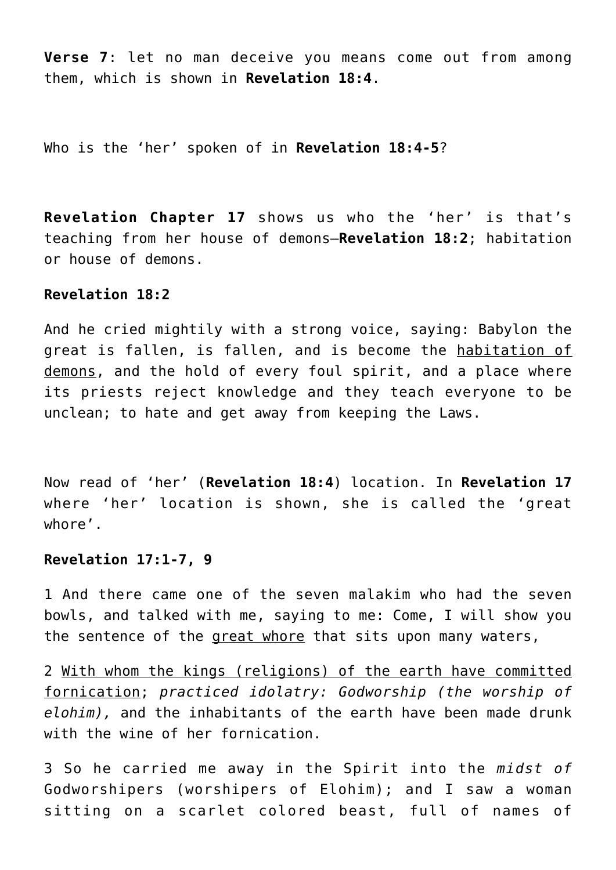**Verse 7**: let no man deceive you means come out from among them, which is shown in **Revelation 18:4**.

Who is the 'her' spoken of in **Revelation 18:4-5**?

**Revelation Chapter 17** shows us who the 'her' is that's teaching from her house of demons—**Revelation 18:2**; habitation or house of demons.

# **Revelation 18:2**

And he cried mightily with a strong voice, saying: Babylon the great is fallen, is fallen, and is become the habitation of demons, and the hold of every foul spirit, and a place where its priests reject knowledge and they teach everyone to be unclean; to hate and get away from keeping the Laws.

Now read of 'her' (**Revelation 18:4**) location. In **Revelation 17** where 'her' location is shown, she is called the 'great whore'.

# **Revelation 17:1-7, 9**

1 And there came one of the seven malakim who had the seven bowls, and talked with me, saying to me: Come, I will show you the sentence of the great whore that sits upon many waters,

2 With whom the kings (religions) of the earth have committed fornication; *practiced idolatry: Godworship (the worship of elohim),* and the inhabitants of the earth have been made drunk with the wine of her fornication.

3 So he carried me away in the Spirit into the *midst of* Godworshipers (worshipers of Elohim); and I saw a woman sitting on a scarlet colored beast, full of names of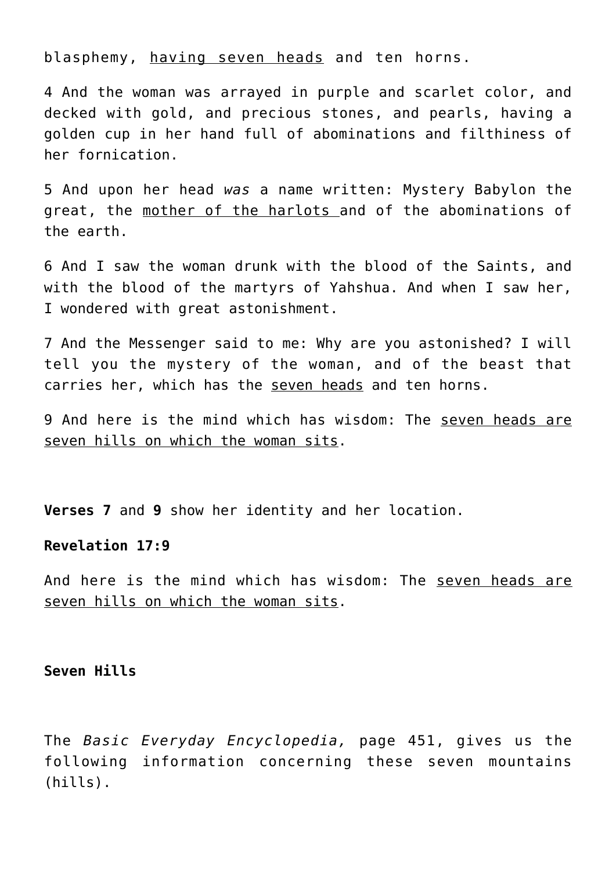blasphemy, having seven heads and ten horns.

4 And the woman was arrayed in purple and scarlet color, and decked with gold, and precious stones, and pearls, having a golden cup in her hand full of abominations and filthiness of her fornication.

5 And upon her head *was* a name written: Mystery Babylon the great, the mother of the harlots and of the abominations of the earth.

6 And I saw the woman drunk with the blood of the Saints, and with the blood of the martyrs of Yahshua. And when I saw her, I wondered with great astonishment.

7 And the Messenger said to me: Why are you astonished? I will tell you the mystery of the woman, and of the beast that carries her, which has the seven heads and ten horns.

9 And here is the mind which has wisdom: The seven heads are seven hills on which the woman sits.

**Verses 7** and **9** show her identity and her location.

# **Revelation 17:9**

And here is the mind which has wisdom: The seven heads are seven hills on which the woman sits.

#### **Seven Hills**

The *Basic Everyday Encyclopedia,* page 451, gives us the following information concerning these seven mountains (hills).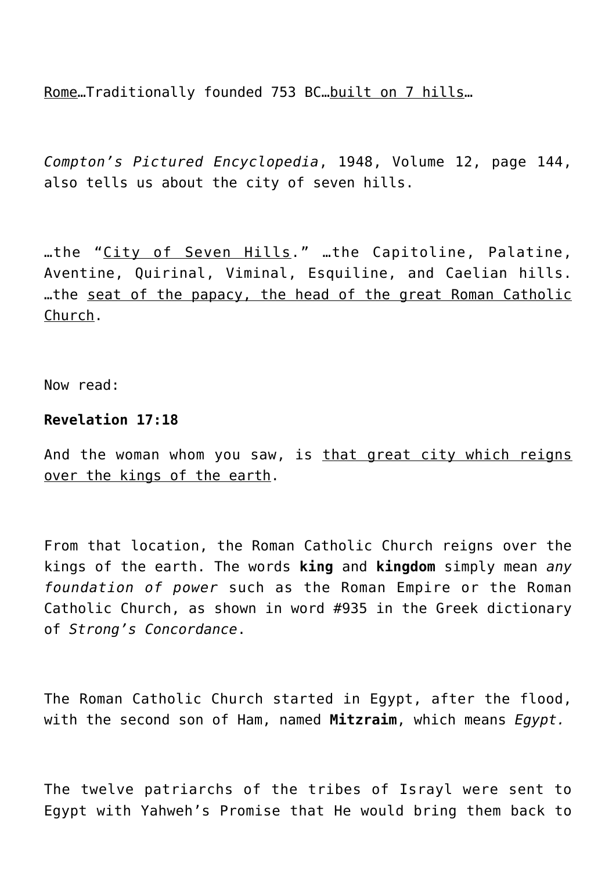Rome…Traditionally founded 753 BC…built on 7 hills…

*Compton's Pictured Encyclopedia*, 1948, Volume 12, page 144, also tells us about the city of seven hills.

…the "City of Seven Hills." …the Capitoline, Palatine, Aventine, Quirinal, Viminal, Esquiline, and Caelian hills. …the seat of the papacy, the head of the great Roman Catholic Church.

Now read:

# **Revelation 17:18**

And the woman whom you saw, is that great city which reigns over the kings of the earth.

From that location, the Roman Catholic Church reigns over the kings of the earth. The words **king** and **kingdom** simply mean *any foundation of power* such as the Roman Empire or the Roman Catholic Church, as shown in word #935 in the Greek dictionary of *Strong's Concordance*.

The Roman Catholic Church started in Egypt, after the flood, with the second son of Ham, named **Mitzraim**, which means *Egypt.*

The twelve patriarchs of the tribes of Israyl were sent to Egypt with Yahweh's Promise that He would bring them back to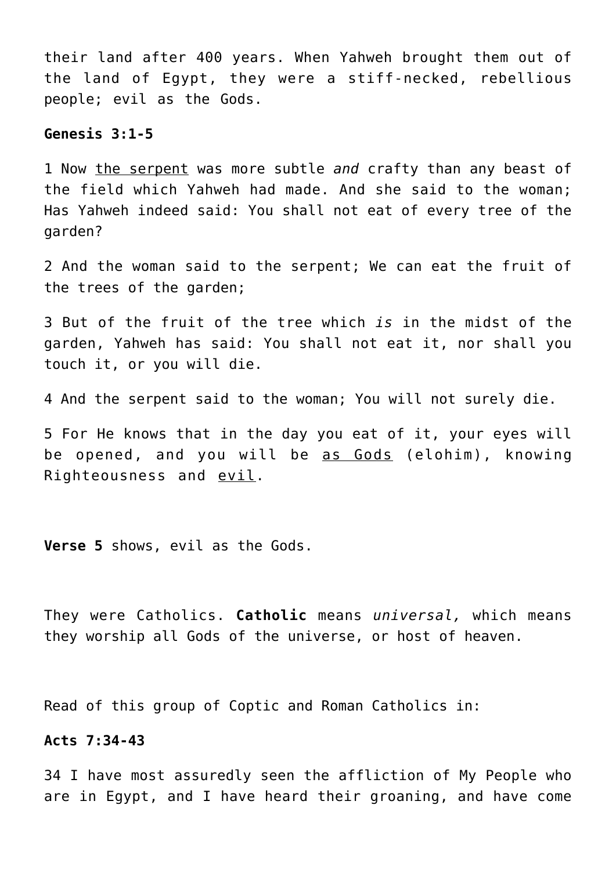their land after 400 years. When Yahweh brought them out of the land of Egypt, they were a stiff-necked, rebellious people; evil as the Gods.

## **Genesis 3:1-5**

1 Now the serpent was more subtle *and* crafty than any beast of the field which Yahweh had made. And she said to the woman; Has Yahweh indeed said: You shall not eat of every tree of the garden?

2 And the woman said to the serpent; We can eat the fruit of the trees of the garden;

3 But of the fruit of the tree which *is* in the midst of the garden, Yahweh has said: You shall not eat it, nor shall you touch it, or you will die.

4 And the serpent said to the woman; You will not surely die.

5 For He knows that in the day you eat of it, your eyes will be opened, and you will be as Gods (elohim), knowing Righteousness and evil.

**Verse 5** shows, evil as the Gods.

They were Catholics. **Catholic** means *universal,* which means they worship all Gods of the universe, or host of heaven.

Read of this group of Coptic and Roman Catholics in:

# **Acts 7:34-43**

34 I have most assuredly seen the affliction of My People who are in Egypt, and I have heard their groaning, and have come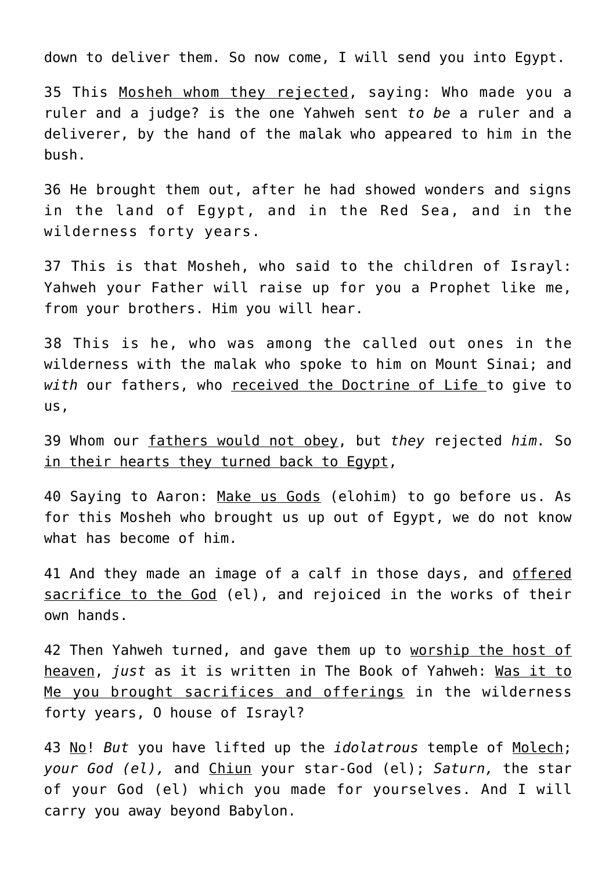down to deliver them. So now come, I will send you into Egypt.

35 This Mosheh whom they rejected, saying: Who made you a ruler and a judge? is the one Yahweh sent *to be* a ruler and a deliverer, by the hand of the malak who appeared to him in the bush.

36 He brought them out, after he had showed wonders and signs in the land of Egypt, and in the Red Sea, and in the wilderness forty years.

37 This is that Mosheh, who said to the children of Israyl: Yahweh your Father will raise up for you a Prophet like me, from your brothers. Him you will hear.

38 This is he, who was among the called out ones in the wilderness with the malak who spoke to him on Mount Sinai; and *with* our fathers, who received the Doctrine of Life to give to us,

39 Whom our fathers would not obey, but *they* rejected *him.* So in their hearts they turned back to Egypt,

40 Saying to Aaron: Make us Gods (elohim) to go before us. As for this Mosheh who brought us up out of Egypt, we do not know what has become of him.

41 And they made an image of a calf in those days, and offered sacrifice to the God (el), and rejoiced in the works of their own hands.

42 Then Yahweh turned, and gave them up to worship the host of heaven, *just* as it is written in The Book of Yahweh: Was it to Me you brought sacrifices and offerings in the wilderness forty years, O house of Israyl?

43 No! *But* you have lifted up the *idolatrous* temple of Molech; *your God (el),* and Chiun your star-God (el); *Saturn,* the star of your God (el) which you made for yourselves. And I will carry you away beyond Babylon.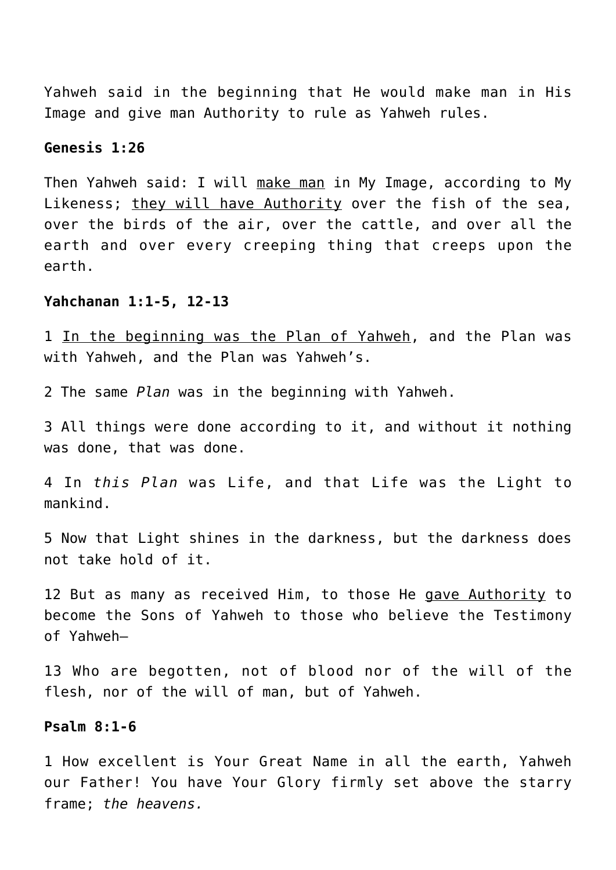Yahweh said in the beginning that He would make man in His Image and give man Authority to rule as Yahweh rules.

# **Genesis 1:26**

Then Yahweh said: I will make man in My Image, according to My Likeness; they will have Authority over the fish of the sea, over the birds of the air, over the cattle, and over all the earth and over every creeping thing that creeps upon the earth.

# **Yahchanan 1:1-5, 12-13**

1 In the beginning was the Plan of Yahweh, and the Plan was with Yahweh, and the Plan was Yahweh's.

2 The same *Plan* was in the beginning with Yahweh.

3 All things were done according to it, and without it nothing was done, that was done.

4 In *this Plan* was Life, and that Life was the Light to mankind.

5 Now that Light shines in the darkness, but the darkness does not take hold of it.

12 But as many as received Him, to those He gave Authority to become the Sons of Yahweh to those who believe the Testimony of Yahweh—

13 Who are begotten, not of blood nor of the will of the flesh, nor of the will of man, but of Yahweh.

## **Psalm 8:1-6**

1 How excellent is Your Great Name in all the earth, Yahweh our Father! You have Your Glory firmly set above the starry frame; *the heavens.*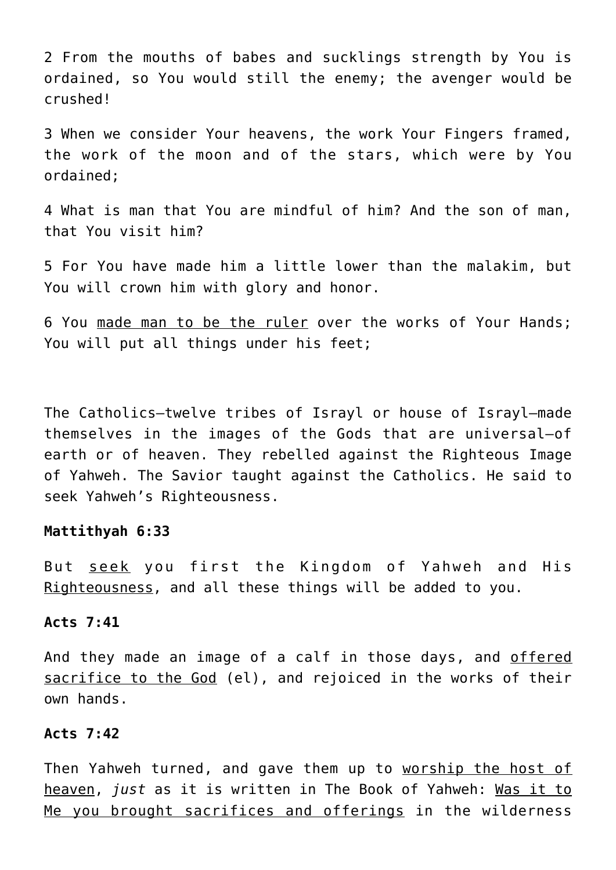2 From the mouths of babes and sucklings strength by You is ordained, so You would still the enemy; the avenger would be crushed!

3 When we consider Your heavens, the work Your Fingers framed, the work of the moon and of the stars, which were by You ordained;

4 What is man that You are mindful of him? And the son of man, that You visit him?

5 For You have made him a little lower than the malakim, but You will crown him with glory and honor.

6 You made man to be the ruler over the works of Your Hands; You will put all things under his feet;

The Catholics—twelve tribes of Israyl or house of Israyl—made themselves in the images of the Gods that are universal—of earth or of heaven. They rebelled against the Righteous Image of Yahweh. The Savior taught against the Catholics. He said to seek Yahweh's Righteousness.

#### **Mattithyah 6:33**

But seek you first the Kingdom of Yahweh and His Righteousness, and all these things will be added to you.

# **Acts 7:41**

And they made an image of a calf in those days, and offered sacrifice to the God (el), and rejoiced in the works of their own hands.

#### **Acts 7:42**

Then Yahweh turned, and gave them up to worship the host of heaven, *just* as it is written in The Book of Yahweh: Was it to Me you brought sacrifices and offerings in the wilderness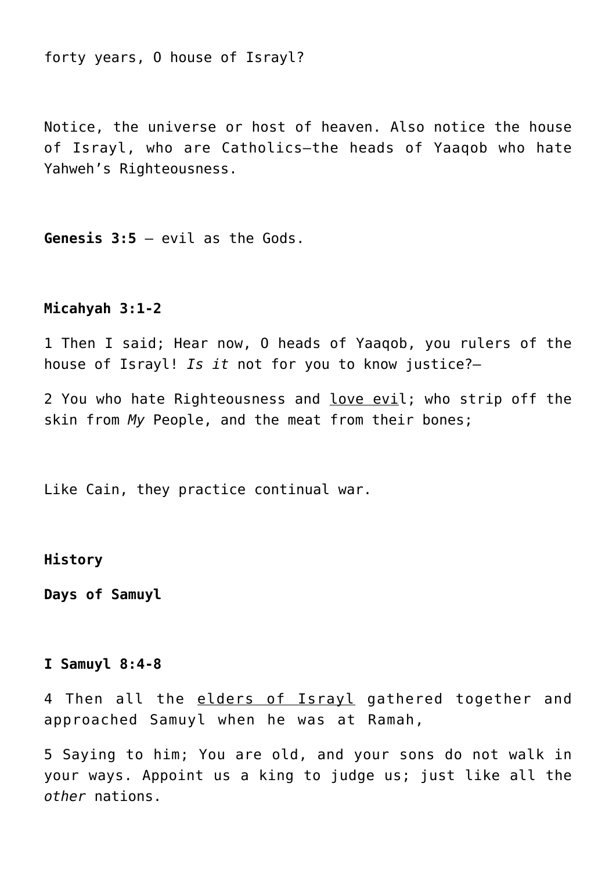forty years, O house of Israyl?

Notice, the universe or host of heaven. Also notice the house of Israyl, who are Catholics—the heads of Yaaqob who hate Yahweh's Righteousness.

**Genesis 3:5** – evil as the Gods.

#### **Micahyah 3:1-2**

1 Then I said; Hear now, O heads of Yaaqob, you rulers of the house of Israyl! *Is it* not for you to know justice?—

2 You who hate Righteousness and love evil; who strip off the skin from *My* People, and the meat from their bones;

Like Cain, they practice continual war.

# **History**

**Days of Samuyl**

## **I Samuyl 8:4-8**

4 Then all the elders of Israyl gathered together and approached Samuyl when he was at Ramah,

5 Saying to him; You are old, and your sons do not walk in your ways. Appoint us a king to judge us; just like all the *other* nations.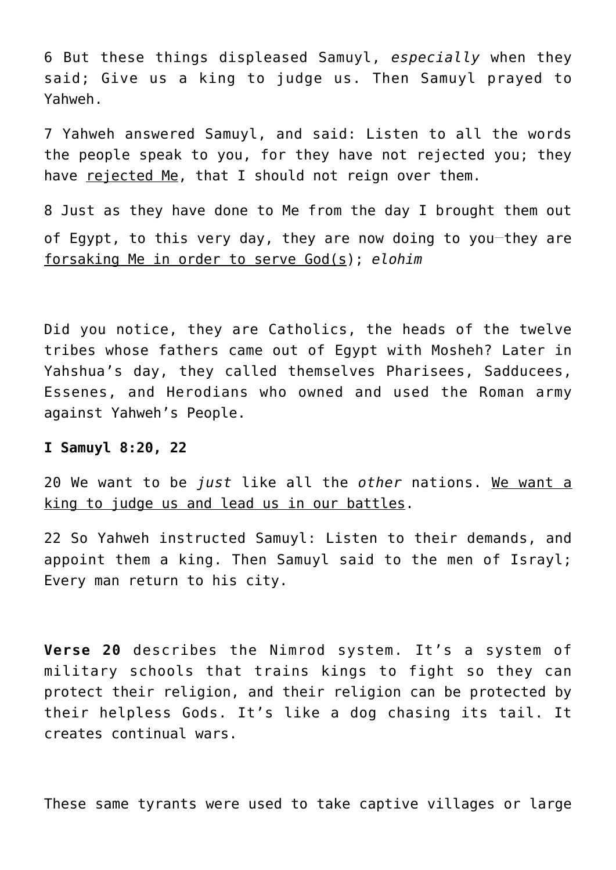6 But these things displeased Samuyl, *especially* when they said; Give us a king to judge us. Then Samuyl prayed to Yahweh.

7 Yahweh answered Samuyl, and said: Listen to all the words the people speak to you, for they have not rejected you; they have rejected Me, that I should not reign over them.

8 Just as they have done to Me from the day I brought them out of Egypt, to this very day, they are now doing to you-they are forsaking Me in order to serve God(s); *elohim*

Did you notice, they are Catholics, the heads of the twelve tribes whose fathers came out of Egypt with Mosheh? Later in Yahshua's day, they called themselves Pharisees, Sadducees, Essenes, and Herodians who owned and used the Roman army against Yahweh's People.

# **I Samuyl 8:20, 22**

20 We want to be *just* like all the *other* nations. We want a king to judge us and lead us in our battles.

22 So Yahweh instructed Samuyl: Listen to their demands, and appoint them a king. Then Samuyl said to the men of Israyl; Every man return to his city.

**Verse 20** describes the Nimrod system. It's a system of military schools that trains kings to fight so they can protect their religion, and their religion can be protected by their helpless Gods. It's like a dog chasing its tail. It creates continual wars.

These same tyrants were used to take captive villages or large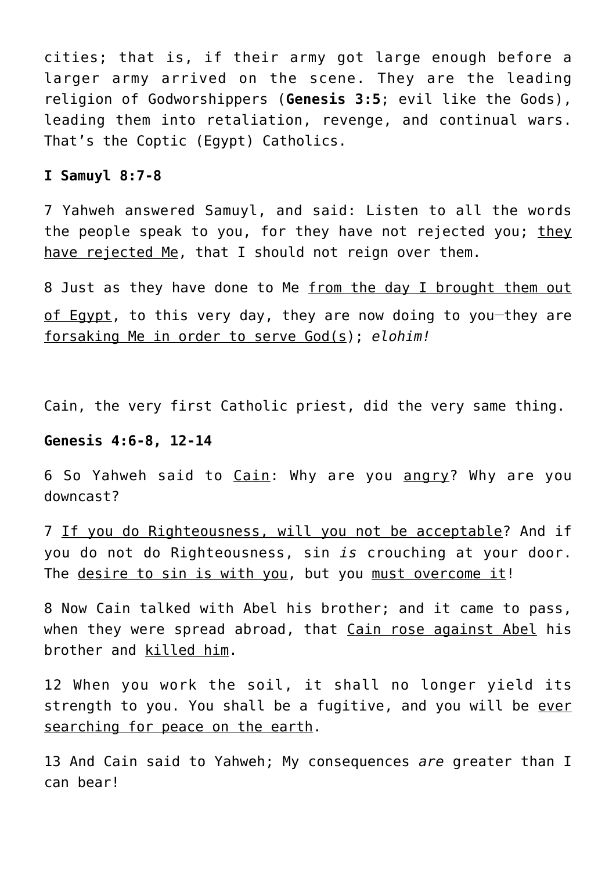cities; that is, if their army got large enough before a larger army arrived on the scene. They are the leading religion of Godworshippers (**Genesis 3:5**; evil like the Gods), leading them into retaliation, revenge, and continual wars. That's the Coptic (Egypt) Catholics.

#### **I Samuyl 8:7-8**

7 Yahweh answered Samuyl, and said: Listen to all the words the people speak to you, for they have not rejected you; they have rejected Me, that I should not reign over them.

8 Just as they have done to Me from the day I brought them out of Egypt, to this very day, they are now doing to you-they are forsaking Me in order to serve God(s); *elohim!*

Cain, the very first Catholic priest, did the very same thing.

#### **Genesis 4:6-8, 12-14**

6 So Yahweh said to Cain: Why are you angry? Why are you downcast?

7 If you do Righteousness, will you not be acceptable? And if you do not do Righteousness, sin *is* crouching at your door. The desire to sin is with you, but you must overcome it!

8 Now Cain talked with Abel his brother; and it came to pass, when they were spread abroad, that Cain rose against Abel his brother and killed him.

12 When you work the soil, it shall no longer yield its strength to you. You shall be a fugitive, and you will be ever searching for peace on the earth.

13 And Cain said to Yahweh; My consequences *are* greater than I can bear!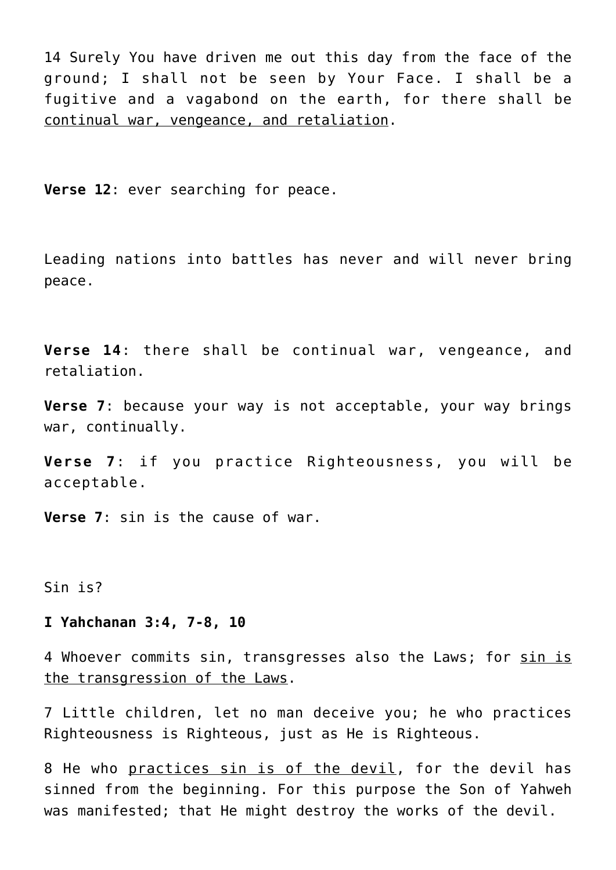14 Surely You have driven me out this day from the face of the ground; I shall not be seen by Your Face. I shall be a fugitive and a vagabond on the earth, for there shall be continual war, vengeance, and retaliation.

**Verse 12**: ever searching for peace.

Leading nations into battles has never and will never bring peace.

**Verse 14**: there shall be continual war, vengeance, and retaliation.

**Verse 7**: because your way is not acceptable, your way brings war, continually.

**Verse 7**: if you practice Righteousness, you will be acceptable.

**Verse 7**: sin is the cause of war.

Sin is?

# **I Yahchanan 3:4, 7-8, 10**

4 Whoever commits sin, transgresses also the Laws; for sin is the transgression of the Laws.

7 Little children, let no man deceive you; he who practices Righteousness is Righteous, just as He is Righteous.

8 He who practices sin is of the devil, for the devil has sinned from the beginning. For this purpose the Son of Yahweh was manifested; that He might destroy the works of the devil.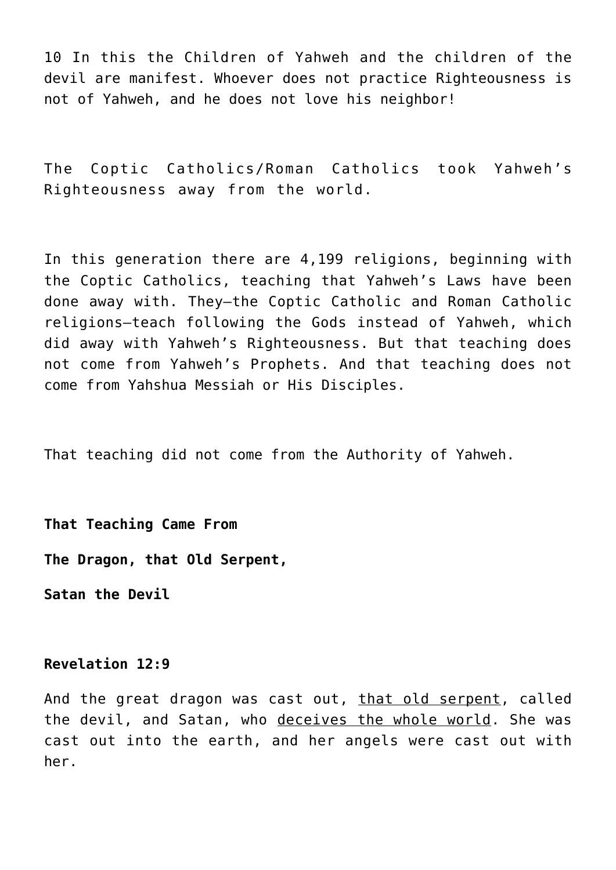10 In this the Children of Yahweh and the children of the devil are manifest. Whoever does not practice Righteousness is not of Yahweh, and he does not love his neighbor!

The Coptic Catholics/Roman Catholics took Yahweh's Righteousness away from the world.

In this generation there are 4,199 religions, beginning with the Coptic Catholics, teaching that Yahweh's Laws have been done away with. They—the Coptic Catholic and Roman Catholic religions—teach following the Gods instead of Yahweh, which did away with Yahweh's Righteousness. But that teaching does not come from Yahweh's Prophets. And that teaching does not come from Yahshua Messiah or His Disciples.

That teaching did not come from the Authority of Yahweh.

**That Teaching Came From The Dragon, that Old Serpent,**

**Satan the Devil**

# **Revelation 12:9**

And the great dragon was cast out, that old serpent, called the devil, and Satan, who deceives the whole world. She was cast out into the earth, and her angels were cast out with her.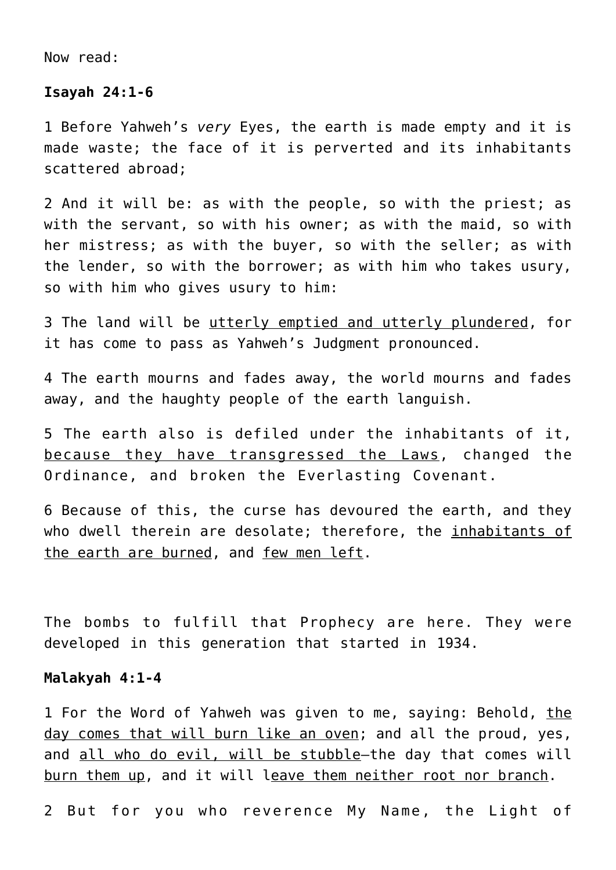Now read:

#### **Isayah 24:1-6**

1 Before Yahweh's *very* Eyes, the earth is made empty and it is made waste; the face of it is perverted and its inhabitants scattered abroad;

2 And it will be: as with the people, so with the priest; as with the servant, so with his owner; as with the maid, so with her mistress; as with the buyer, so with the seller; as with the lender, so with the borrower; as with him who takes usury, so with him who gives usury to him:

3 The land will be utterly emptied and utterly plundered, for it has come to pass as Yahweh's Judgment pronounced.

4 The earth mourns and fades away, the world mourns and fades away, and the haughty people of the earth languish.

5 The earth also is defiled under the inhabitants of it, because they have transgressed the Laws, changed the Ordinance, and broken the Everlasting Covenant.

6 Because of this, the curse has devoured the earth, and they who dwell therein are desolate; therefore, the inhabitants of the earth are burned, and few men left.

The bombs to fulfill that Prophecy are here. They were developed in this generation that started in 1934.

#### **Malakyah 4:1-4**

1 For the Word of Yahweh was given to me, saying: Behold, the day comes that will burn like an oven; and all the proud, yes, and all who do evil, will be stubble-the day that comes will burn them up, and it will leave them neither root nor branch.

2 But for you who reverence My Name, the Light of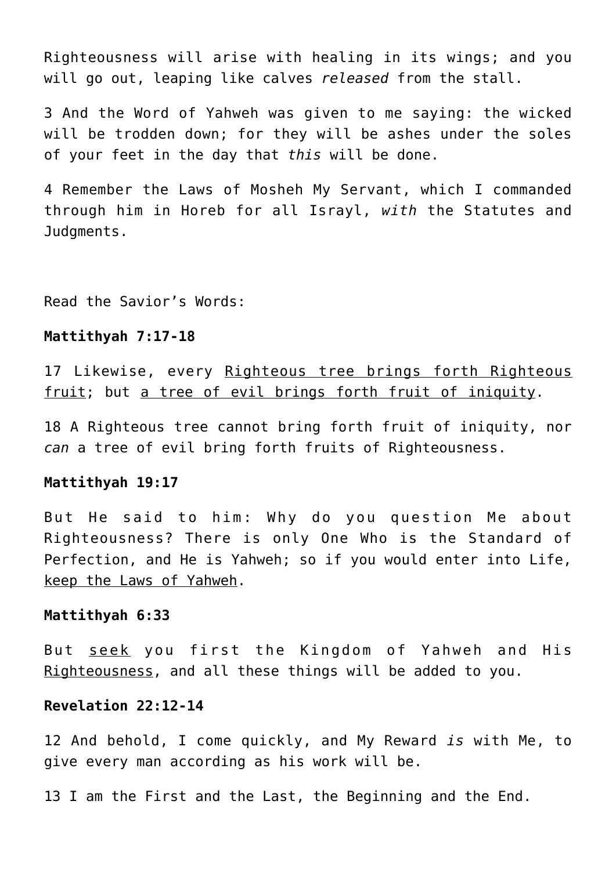Righteousness will arise with healing in its wings; and you will go out, leaping like calves *released* from the stall.

3 And the Word of Yahweh was given to me saying: the wicked will be trodden down; for they will be ashes under the soles of your feet in the day that *this* will be done.

4 Remember the Laws of Mosheh My Servant, which I commanded through him in Horeb for all Israyl, *with* the Statutes and Judgments.

Read the Savior's Words:

# **Mattithyah 7:17-18**

17 Likewise, every Righteous tree brings forth Righteous fruit; but a tree of evil brings forth fruit of iniquity.

18 A Righteous tree cannot bring forth fruit of iniquity, nor *can* a tree of evil bring forth fruits of Righteousness.

#### **Mattithyah 19:17**

But He said to him: Why do you question Me about Righteousness? There is only One Who is the Standard of Perfection, and He is Yahweh; so if you would enter into Life, keep the Laws of Yahweh.

#### **Mattithyah 6:33**

But seek you first the Kingdom of Yahweh and His Righteousness, and all these things will be added to you.

## **Revelation 22:12-14**

12 And behold, I come quickly, and My Reward *is* with Me, to give every man according as his work will be.

13 I am the First and the Last, the Beginning and the End.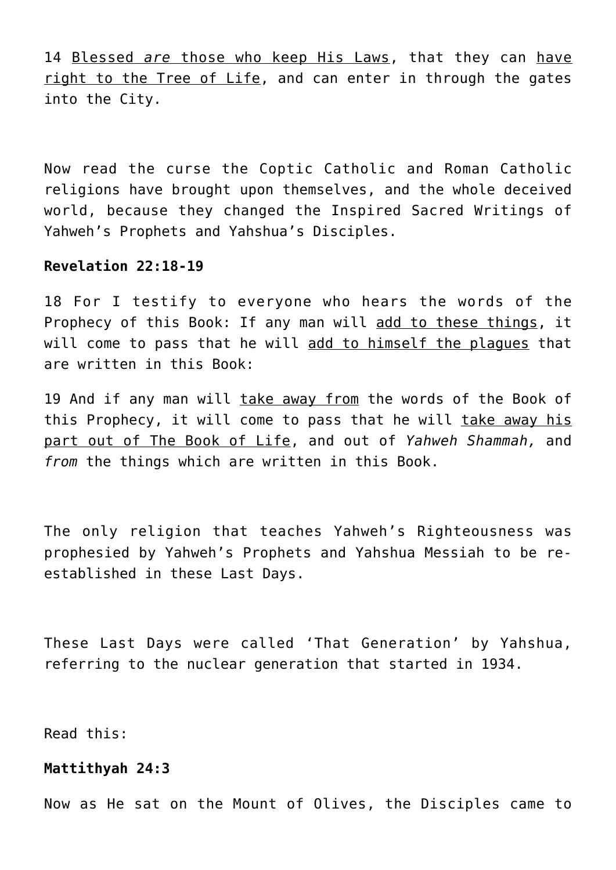14 Blessed *are* those who keep His Laws, that they can have right to the Tree of Life, and can enter in through the gates into the City.

Now read the curse the Coptic Catholic and Roman Catholic religions have brought upon themselves, and the whole deceived world, because they changed the Inspired Sacred Writings of Yahweh's Prophets and Yahshua's Disciples.

# **Revelation 22:18-19**

18 For I testify to everyone who hears the words of the Prophecy of this Book: If any man will add to these things, it will come to pass that he will add to himself the plagues that are written in this Book:

19 And if any man will take away from the words of the Book of this Prophecy, it will come to pass that he will take away his part out of The Book of Life, and out of *Yahweh Shammah,* and *from* the things which are written in this Book.

The only religion that teaches Yahweh's Righteousness was prophesied by Yahweh's Prophets and Yahshua Messiah to be reestablished in these Last Days.

These Last Days were called 'That Generation' by Yahshua, referring to the nuclear generation that started in 1934.

Read this:

#### **Mattithyah 24:3**

Now as He sat on the Mount of Olives, the Disciples came to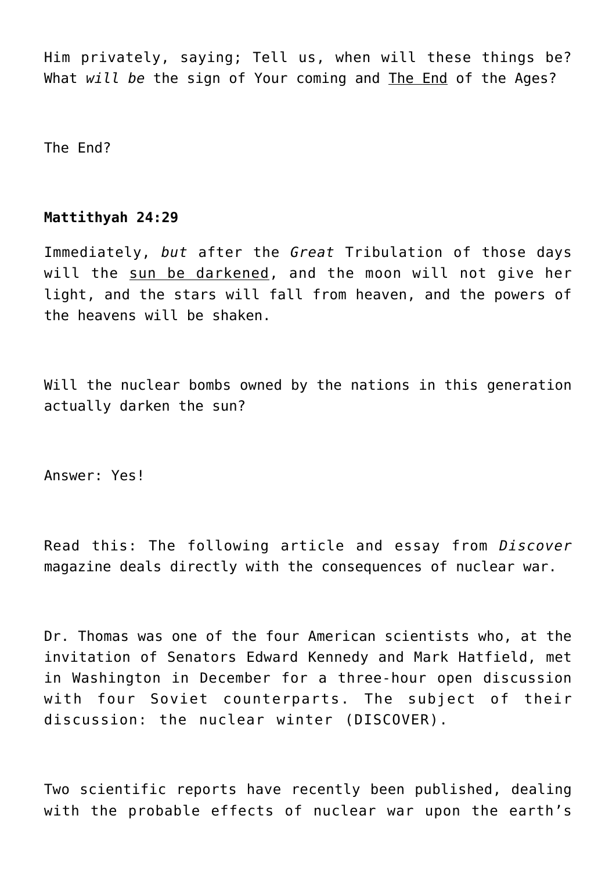Him privately, saying; Tell us, when will these things be? What *will be* the sign of Your coming and The End of the Ages?

The End?

# **Mattithyah 24:29**

Immediately, *but* after the *Great* Tribulation of those days will the sun be darkened, and the moon will not give her light, and the stars will fall from heaven, and the powers of the heavens will be shaken.

Will the nuclear bombs owned by the nations in this generation actually darken the sun?

Answer: Yes!

Read this: The following article and essay from *Discover* magazine deals directly with the consequences of nuclear war.

Dr. Thomas was one of the four American scientists who, at the invitation of Senators Edward Kennedy and Mark Hatfield, met in Washington in December for a three-hour open discussion with four Soviet counterparts. The subject of their discussion: the nuclear winter (DISCOVER).

Two scientific reports have recently been published, dealing with the probable effects of nuclear war upon the earth's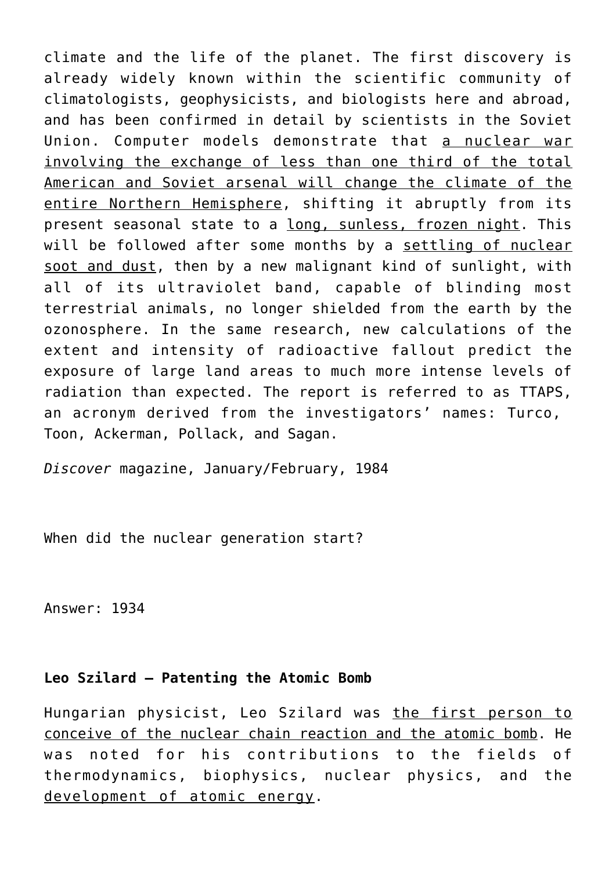climate and the life of the planet. The first discovery is already widely known within the scientific community of climatologists, geophysicists, and biologists here and abroad, and has been confirmed in detail by scientists in the Soviet Union. Computer models demonstrate that a nuclear war involving the exchange of less than one third of the total American and Soviet arsenal will change the climate of the entire Northern Hemisphere, shifting it abruptly from its present seasonal state to a long, sunless, frozen night. This will be followed after some months by a settling of nuclear soot and dust, then by a new malignant kind of sunlight, with all of its ultraviolet band, capable of blinding most terrestrial animals, no longer shielded from the earth by the ozonosphere. In the same research, new calculations of the extent and intensity of radioactive fallout predict the exposure of large land areas to much more intense levels of radiation than expected. The report is referred to as TTAPS, an acronym derived from the investigators' names: Turco, Toon, Ackerman, Pollack, and Sagan.

*Discover* magazine, January/February, 1984

When did the nuclear generation start?

Answer: 1934

# **Leo Szilard – Patenting the Atomic Bomb**

Hungarian physicist, Leo Szilard was the first person to conceive of the nuclear chain reaction and the atomic bomb. He was noted for his contributions to the fields of thermodynamics, biophysics, nuclear physics, and the development of atomic energy.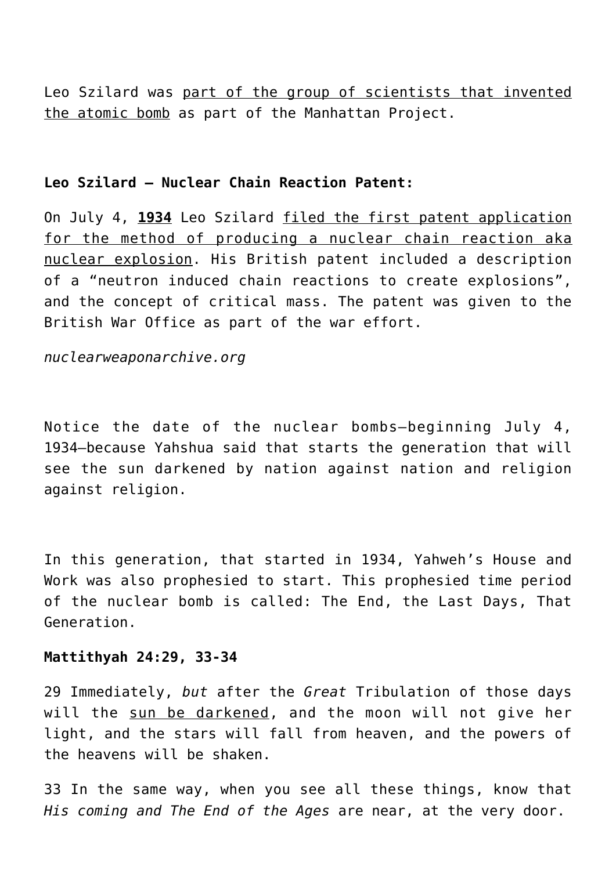Leo Szilard was part of the group of scientists that invented the atomic bomb as part of the Manhattan Project.

## **Leo Szilard – Nuclear Chain Reaction Patent:**

On July 4, **1934** Leo Szilard filed the first patent application for the method of producing a nuclear chain reaction aka nuclear explosion. His British patent included a description of a "neutron induced chain reactions to create explosions", and the concept of critical mass. The patent was given to the British War Office as part of the war effort.

*nuclearweaponarchive.org*

Notice the date of the nuclear bombs—beginning July 4, 1934—because Yahshua said that starts the generation that will see the sun darkened by nation against nation and religion against religion.

In this generation, that started in 1934, Yahweh's House and Work was also prophesied to start. This prophesied time period of the nuclear bomb is called: The End, the Last Days, That Generation.

## **Mattithyah 24:29, 33-34**

29 Immediately, *but* after the *Great* Tribulation of those days will the sun be darkened, and the moon will not give her light, and the stars will fall from heaven, and the powers of the heavens will be shaken.

33 In the same way, when you see all these things, know that *His coming and The End of the Ages* are near, at the very door.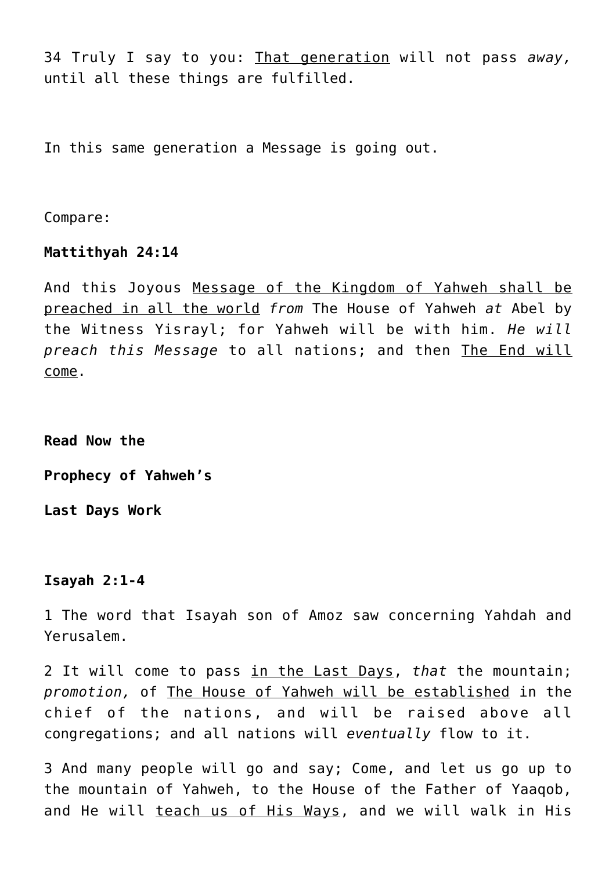34 Truly I say to you: That generation will not pass *away,* until all these things are fulfilled.

In this same generation a Message is going out.

Compare:

## **Mattithyah 24:14**

And this Joyous Message of the Kingdom of Yahweh shall be preached in all the world *from* The House of Yahweh *at* Abel by the Witness Yisrayl; for Yahweh will be with him. *He will preach this Message* to all nations; and then The End will come.

**Read Now the**

**Prophecy of Yahweh's**

**Last Days Work**

#### **Isayah 2:1-4**

1 The word that Isayah son of Amoz saw concerning Yahdah and Yerusalem.

2 It will come to pass in the Last Days, *that* the mountain; *promotion,* of The House of Yahweh will be established in the chief of the nations, and will be raised above all congregations; and all nations will *eventually* flow to it.

3 And many people will go and say; Come, and let us go up to the mountain of Yahweh, to the House of the Father of Yaaqob, and He will teach us of His Ways, and we will walk in His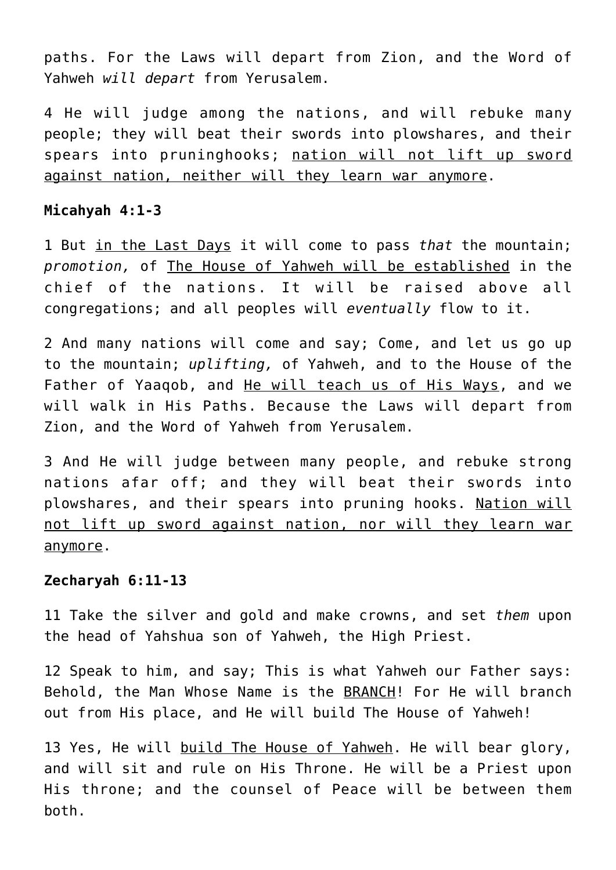paths. For the Laws will depart from Zion, and the Word of Yahweh *will depart* from Yerusalem.

4 He will judge among the nations, and will rebuke many people; they will beat their swords into plowshares, and their spears into pruninghooks; nation will not lift up sword against nation, neither will they learn war anymore.

## **Micahyah 4:1-3**

1 But in the Last Days it will come to pass *that* the mountain; *promotion,* of The House of Yahweh will be established in the chief of the nations. It will be raised above all congregations; and all peoples will *eventually* flow to it.

2 And many nations will come and say; Come, and let us go up to the mountain; *uplifting,* of Yahweh, and to the House of the Father of Yaaqob, and He will teach us of His Ways, and we will walk in His Paths. Because the Laws will depart from Zion, and the Word of Yahweh from Yerusalem.

3 And He will judge between many people, and rebuke strong nations afar off; and they will beat their swords into plowshares, and their spears into pruning hooks. Nation will not lift up sword against nation, nor will they learn war anymore.

#### **Zecharyah 6:11-13**

11 Take the silver and gold and make crowns, and set *them* upon the head of Yahshua son of Yahweh, the High Priest.

12 Speak to him, and say; This is what Yahweh our Father says: Behold, the Man Whose Name is the BRANCH! For He will branch out from His place, and He will build The House of Yahweh!

13 Yes, He will build The House of Yahweh. He will bear glory, and will sit and rule on His Throne. He will be a Priest upon His throne; and the counsel of Peace will be between them both.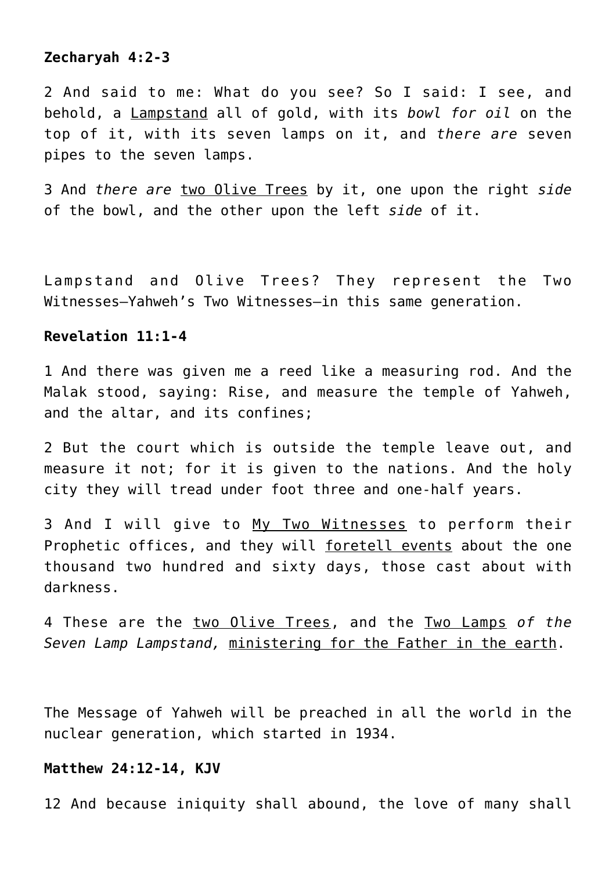# **Zecharyah 4:2-3**

2 And said to me: What do you see? So I said: I see, and behold, a Lampstand all of gold, with its *bowl for oil* on the top of it, with its seven lamps on it, and *there are* seven pipes to the seven lamps.

3 And *there are* two Olive Trees by it, one upon the right *side* of the bowl, and the other upon the left *side* of it.

Lampstand and Olive Trees? They represent the Two Witnesses—Yahweh's Two Witnesses—in this same generation.

# **Revelation 11:1-4**

1 And there was given me a reed like a measuring rod. And the Malak stood, saying: Rise, and measure the temple of Yahweh, and the altar, and its confines;

2 But the court which is outside the temple leave out, and measure it not; for it is given to the nations. And the holy city they will tread under foot three and one-half years.

3 And I will give to My Two Witnesses to perform their Prophetic offices, and they will foretell events about the one thousand two hundred and sixty days, those cast about with darkness.

4 These are the two Olive Trees, and the Two Lamps *of the Seven Lamp Lampstand,* ministering for the Father in the earth.

The Message of Yahweh will be preached in all the world in the nuclear generation, which started in 1934.

#### **Matthew 24:12-14, KJV**

12 And because iniquity shall abound, the love of many shall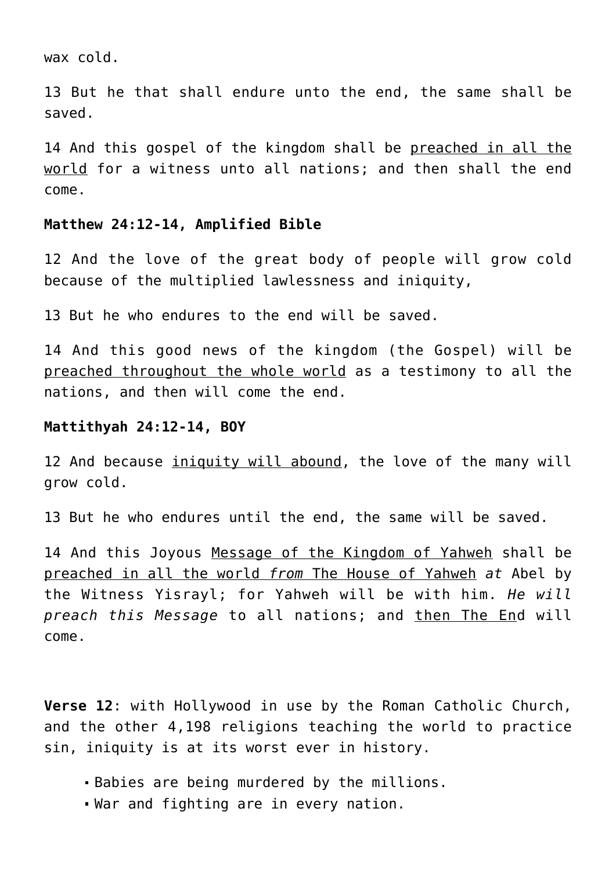wax cold.

13 But he that shall endure unto the end, the same shall be saved.

14 And this gospel of the kingdom shall be preached in all the world for a witness unto all nations; and then shall the end come.

#### **Matthew 24:12-14, Amplified Bible**

12 And the love of the great body of people will grow cold because of the multiplied lawlessness and iniquity,

13 But he who endures to the end will be saved.

14 And this good news of the kingdom (the Gospel) will be preached throughout the whole world as a testimony to all the nations, and then will come the end.

#### **Mattithyah 24:12-14, BOY**

12 And because *iniquity will abound*, the love of the many will grow cold.

13 But he who endures until the end, the same will be saved.

14 And this Joyous Message of the Kingdom of Yahweh shall be preached in all the world *from* The House of Yahweh *at* Abel by the Witness Yisrayl; for Yahweh will be with him. *He will preach this Message* to all nations; and then The End will come.

**Verse 12**: with Hollywood in use by the Roman Catholic Church, and the other 4,198 religions teaching the world to practice sin, iniquity is at its worst ever in history.

- Babies are being murdered by the millions.
- War and fighting are in every nation.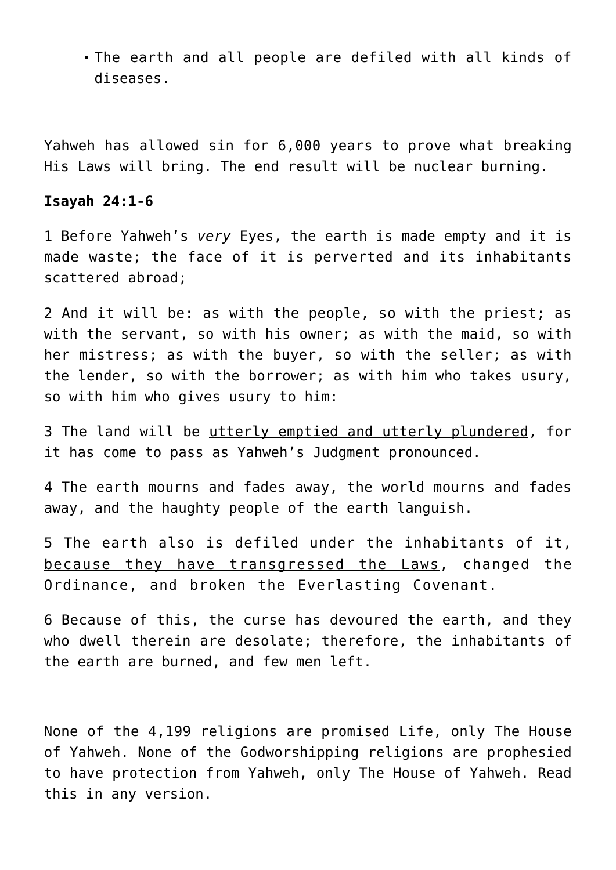The earth and all people are defiled with all kinds of diseases.

Yahweh has allowed sin for 6,000 years to prove what breaking His Laws will bring. The end result will be nuclear burning.

# **Isayah 24:1-6**

1 Before Yahweh's *very* Eyes, the earth is made empty and it is made waste; the face of it is perverted and its inhabitants scattered abroad;

2 And it will be: as with the people, so with the priest; as with the servant, so with his owner; as with the maid, so with her mistress; as with the buyer, so with the seller; as with the lender, so with the borrower; as with him who takes usury, so with him who gives usury to him:

3 The land will be utterly emptied and utterly plundered, for it has come to pass as Yahweh's Judgment pronounced.

4 The earth mourns and fades away, the world mourns and fades away, and the haughty people of the earth languish.

5 The earth also is defiled under the inhabitants of it, because they have transgressed the Laws, changed the Ordinance, and broken the Everlasting Covenant.

6 Because of this, the curse has devoured the earth, and they who dwell therein are desolate; therefore, the inhabitants of the earth are burned, and few men left.

None of the 4,199 religions are promised Life, only The House of Yahweh. None of the Godworshipping religions are prophesied to have protection from Yahweh, only The House of Yahweh. Read this in any version.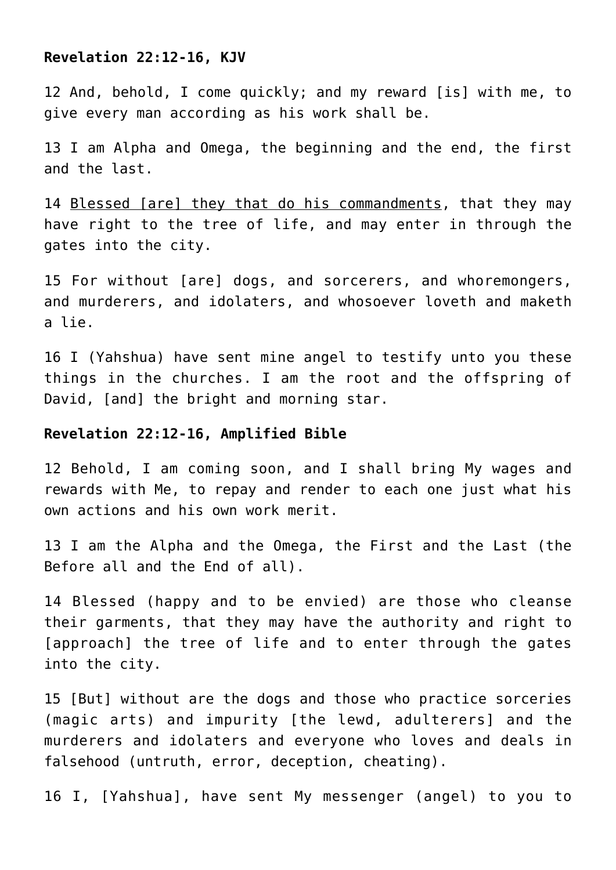#### **Revelation 22:12-16, KJV**

12 And, behold, I come quickly; and my reward [is] with me, to give every man according as his work shall be.

13 I am Alpha and Omega, the beginning and the end, the first and the last.

14 Blessed [are] they that do his commandments, that they may have right to the tree of life, and may enter in through the gates into the city.

15 For without [are] dogs, and sorcerers, and whoremongers, and murderers, and idolaters, and whosoever loveth and maketh a lie.

16 I (Yahshua) have sent mine angel to testify unto you these things in the churches. I am the root and the offspring of David, [and] the bright and morning star.

#### **Revelation 22:12-16, Amplified Bible**

12 Behold, I am coming soon, and I shall bring My wages and rewards with Me, to repay and render to each one just what his own actions and his own work merit.

13 I am the Alpha and the Omega, the First and the Last (the Before all and the End of all).

14 Blessed (happy and to be envied) are those who cleanse their garments, that they may have the authority and right to [approach] the tree of life and to enter through the gates into the city.

15 [But] without are the dogs and those who practice sorceries (magic arts) and impurity [the lewd, adulterers] and the murderers and idolaters and everyone who loves and deals in falsehood (untruth, error, deception, cheating).

16 I, [Yahshua], have sent My messenger (angel) to you to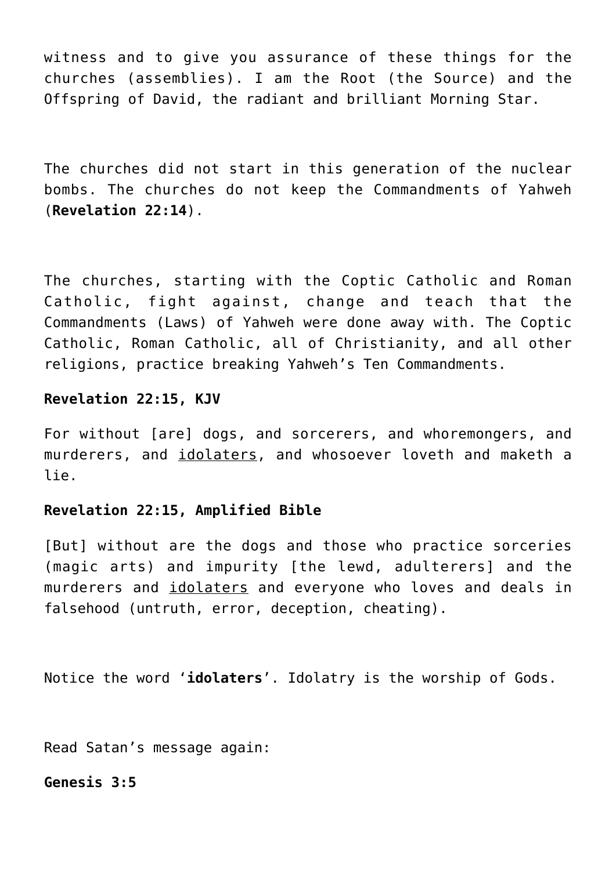witness and to give you assurance of these things for the churches (assemblies). I am the Root (the Source) and the Offspring of David, the radiant and brilliant Morning Star.

The churches did not start in this generation of the nuclear bombs. The churches do not keep the Commandments of Yahweh (**Revelation 22:14**).

The churches, starting with the Coptic Catholic and Roman Catholic, fight against, change and teach that the Commandments (Laws) of Yahweh were done away with. The Coptic Catholic, Roman Catholic, all of Christianity, and all other religions, practice breaking Yahweh's Ten Commandments.

# **Revelation 22:15, KJV**

For without [are] dogs, and sorcerers, and whoremongers, and murderers, and *idolaters*, and whosoever loveth and maketh a lie.

# **Revelation 22:15, Amplified Bible**

[But] without are the dogs and those who practice sorceries (magic arts) and impurity [the lewd, adulterers] and the murderers and idolaters and everyone who loves and deals in falsehood (untruth, error, deception, cheating).

Notice the word '**idolaters**'. Idolatry is the worship of Gods.

Read Satan's message again:

# **Genesis 3:5**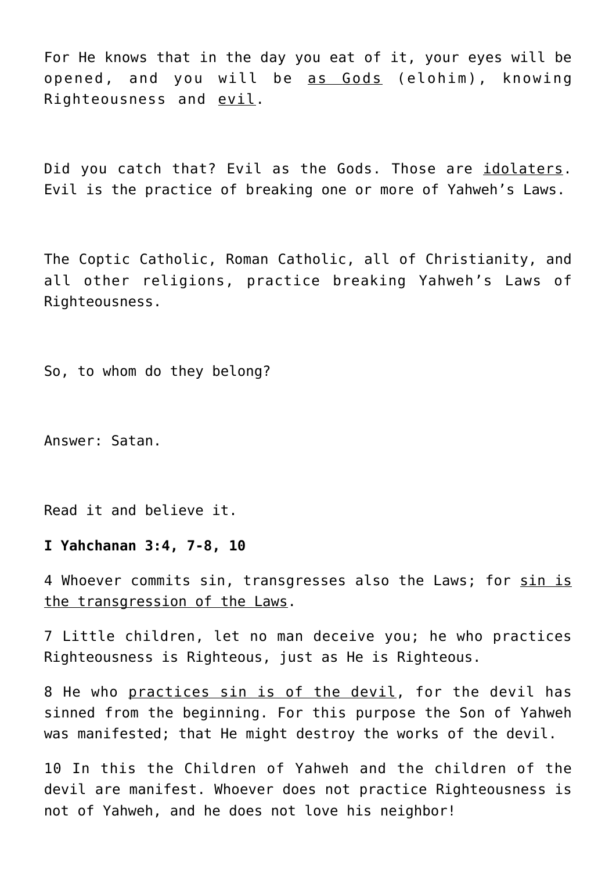For He knows that in the day you eat of it, your eyes will be opened, and you will be as Gods (elohim), knowing Righteousness and evil.

Did you catch that? Evil as the Gods. Those are idolaters. Evil is the practice of breaking one or more of Yahweh's Laws.

The Coptic Catholic, Roman Catholic, all of Christianity, and all other religions, practice breaking Yahweh's Laws of Righteousness.

So, to whom do they belong?

Answer: Satan.

Read it and believe it.

#### **I Yahchanan 3:4, 7-8, 10**

4 Whoever commits sin, transgresses also the Laws; for sin is the transgression of the Laws.

7 Little children, let no man deceive you; he who practices Righteousness is Righteous, just as He is Righteous.

8 He who practices sin is of the devil, for the devil has sinned from the beginning. For this purpose the Son of Yahweh was manifested; that He might destroy the works of the devil.

10 In this the Children of Yahweh and the children of the devil are manifest. Whoever does not practice Righteousness is not of Yahweh, and he does not love his neighbor!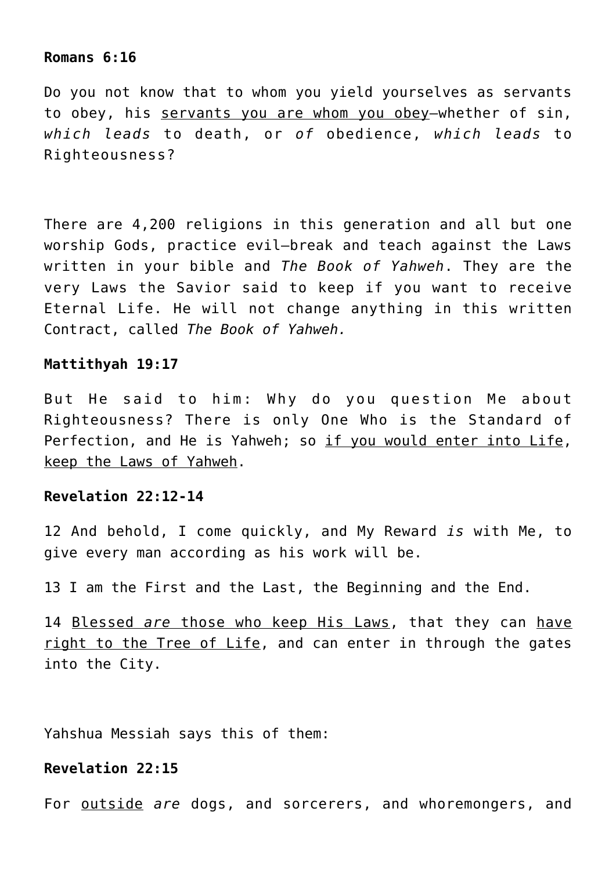#### **Romans 6:16**

Do you not know that to whom you yield yourselves as servants to obey, his servants you are whom you obey—whether of sin, *which leads* to death, or *of* obedience, *which leads* to Righteousness?

There are 4,200 religions in this generation and all but one worship Gods, practice evil—break and teach against the Laws written in your bible and *The Book of Yahweh*. They are the very Laws the Savior said to keep if you want to receive Eternal Life. He will not change anything in this written Contract, called *The Book of Yahweh.*

#### **Mattithyah 19:17**

But He said to him: Why do you question Me about Righteousness? There is only One Who is the Standard of Perfection, and He is Yahweh; so if you would enter into Life, keep the Laws of Yahweh.

# **Revelation 22:12-14**

12 And behold, I come quickly, and My Reward *is* with Me, to give every man according as his work will be.

13 I am the First and the Last, the Beginning and the End.

14 Blessed *are* those who keep His Laws, that they can have right to the Tree of Life, and can enter in through the gates into the City.

Yahshua Messiah says this of them:

# **Revelation 22:15**

For outside *are* dogs, and sorcerers, and whoremongers, and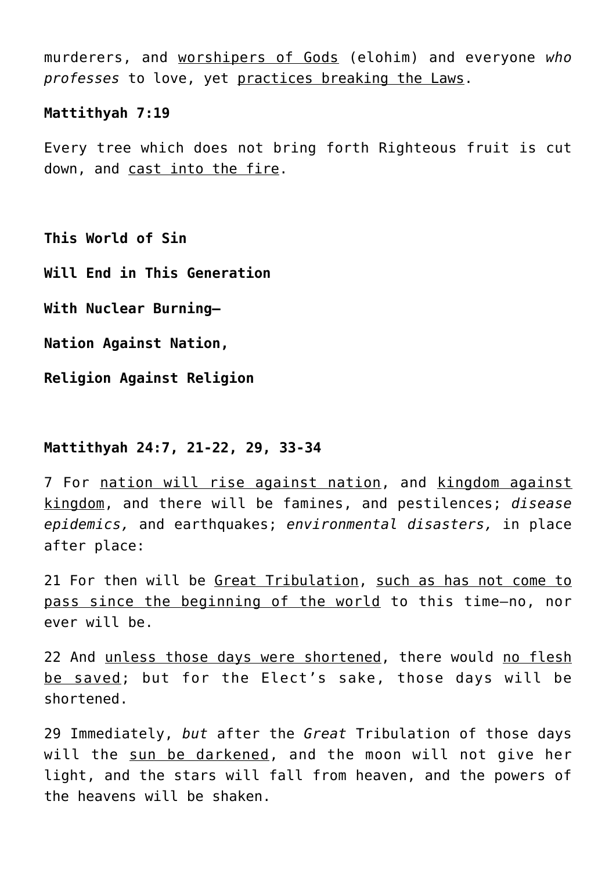murderers, and worshipers of Gods (elohim) and everyone *who professes* to love, yet practices breaking the Laws.

#### **Mattithyah 7:19**

Every tree which does not bring forth Righteous fruit is cut down, and cast into the fire.

**This World of Sin**

**Will End in This Generation**

**With Nuclear Burning—**

**Nation Against Nation,**

**Religion Against Religion**

## **Mattithyah 24:7, 21-22, 29, 33-34**

7 For nation will rise against nation, and kingdom against kingdom, and there will be famines, and pestilences; *disease epidemics,* and earthquakes; *environmental disasters,* in place after place:

21 For then will be Great Tribulation, such as has not come to pass since the beginning of the world to this time—no, nor ever will be.

22 And unless those days were shortened, there would no flesh be saved; but for the Elect's sake, those days will be shortened.

29 Immediately, *but* after the *Great* Tribulation of those days will the sun be darkened, and the moon will not give her light, and the stars will fall from heaven, and the powers of the heavens will be shaken.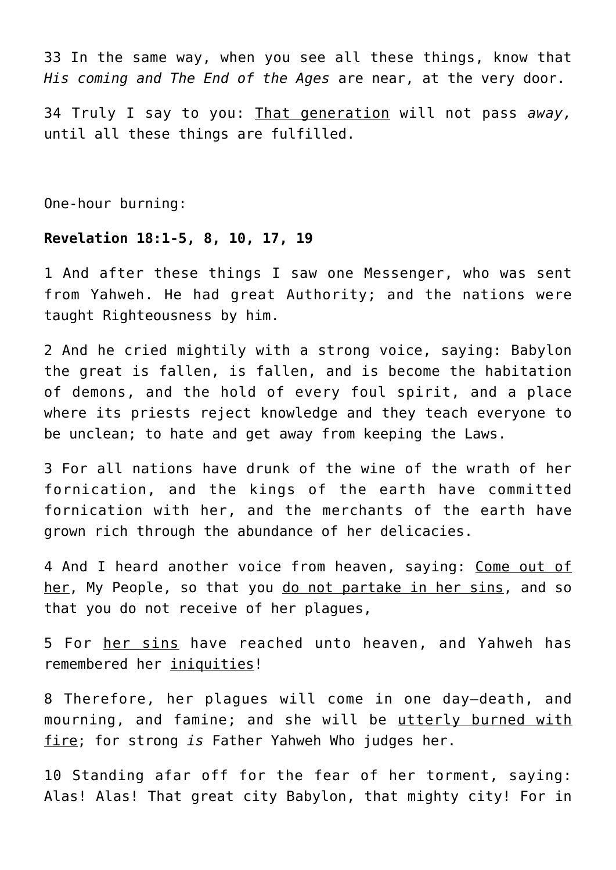33 In the same way, when you see all these things, know that *His coming and The End of the Ages* are near, at the very door.

34 Truly I say to you: That generation will not pass *away,* until all these things are fulfilled.

One-hour burning:

# **Revelation 18:1-5, 8, 10, 17, 19**

1 And after these things I saw one Messenger, who was sent from Yahweh. He had great Authority; and the nations were taught Righteousness by him.

2 And he cried mightily with a strong voice, saying: Babylon the great is fallen, is fallen, and is become the habitation of demons, and the hold of every foul spirit, and a place where its priests reject knowledge and they teach everyone to be unclean; to hate and get away from keeping the Laws.

3 For all nations have drunk of the wine of the wrath of her fornication, and the kings of the earth have committed fornication with her, and the merchants of the earth have grown rich through the abundance of her delicacies.

4 And I heard another voice from heaven, saying: Come out of her, My People, so that you do not partake in her sins, and so that you do not receive of her plagues,

5 For her sins have reached unto heaven, and Yahweh has remembered her iniquities!

8 Therefore, her plagues will come in one day—death, and mourning, and famine; and she will be utterly burned with fire; for strong *is* Father Yahweh Who judges her.

10 Standing afar off for the fear of her torment, saying: Alas! Alas! That great city Babylon, that mighty city! For in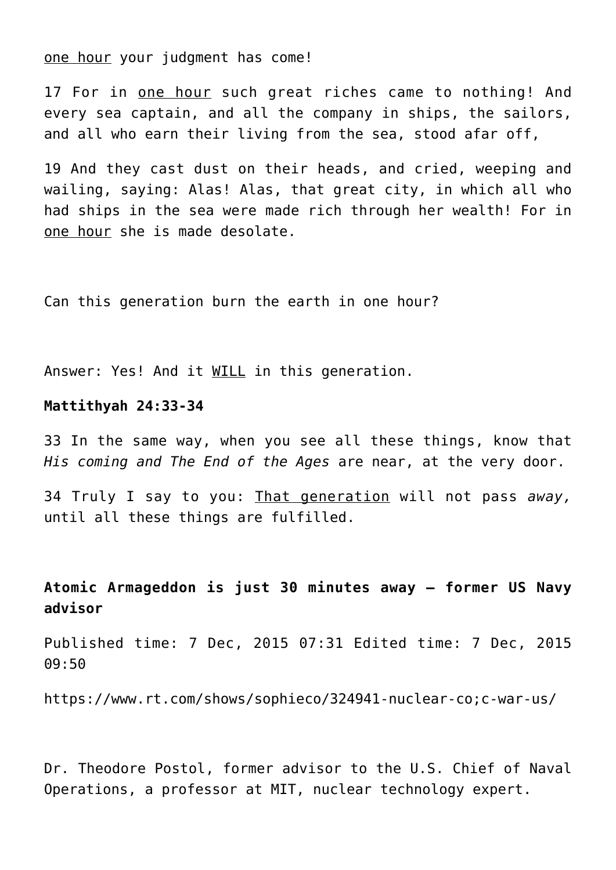one hour your judgment has come!

17 For in one hour such great riches came to nothing! And every sea captain, and all the company in ships, the sailors, and all who earn their living from the sea, stood afar off,

19 And they cast dust on their heads, and cried, weeping and wailing, saying: Alas! Alas, that great city, in which all who had ships in the sea were made rich through her wealth! For in one hour she is made desolate.

Can this generation burn the earth in one hour?

Answer: Yes! And it WILL in this generation.

# **Mattithyah 24:33-34**

33 In the same way, when you see all these things, know that *His coming and The End of the Ages* are near, at the very door.

34 Truly I say to you: That generation will not pass *away,* until all these things are fulfilled.

# **Atomic Armageddon is just 30 minutes away – former US Navy advisor**

Published time: 7 Dec, 2015 07:31 Edited time: 7 Dec, 2015 09:50

https://www.rt.com/shows/sophieco/324941-nuclear-co;c-war-us/

Dr. Theodore Postol, former advisor to the U.S. Chief of Naval Operations, a professor at MIT, nuclear technology expert.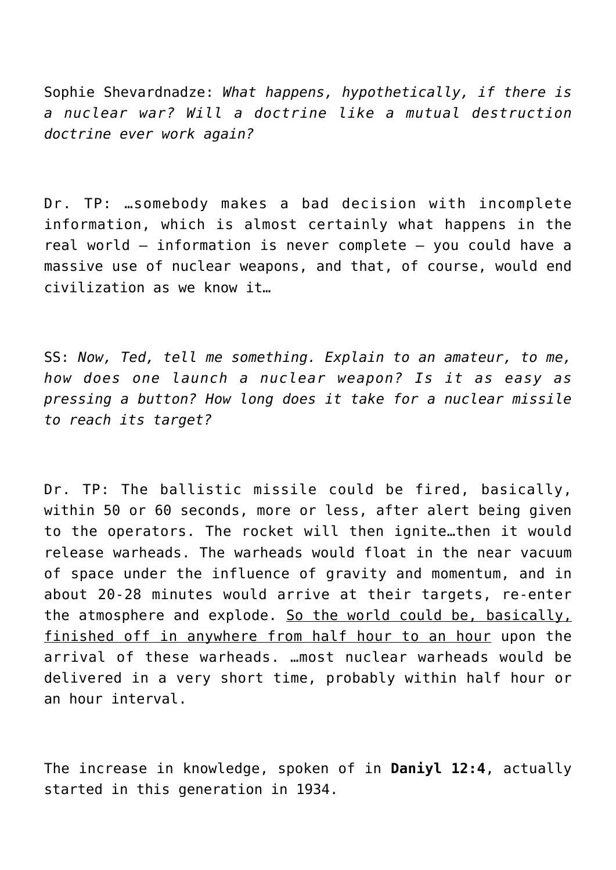Sophie Shevardnadze: *What happens, hypothetically, if there is a nuclear war? Will a doctrine like a mutual destruction doctrine ever work again?*

Dr. TP: …somebody makes a bad decision with incomplete information, which is almost certainly what happens in the real world – information is never complete – you could have a massive use of nuclear weapons, and that, of course, would end civilization as we know it…

SS: *Now, Ted, tell me something. Explain to an amateur, to me, how does one launch a nuclear weapon? Is it as easy as pressing a button? How long does it take for a nuclear missile to reach its target?*

Dr. TP: The ballistic missile could be fired, basically, within 50 or 60 seconds, more or less, after alert being given to the operators. The rocket will then ignite…then it would release warheads. The warheads would float in the near vacuum of space under the influence of gravity and momentum, and in about 20-28 minutes would arrive at their targets, re-enter the atmosphere and explode. So the world could be, basically, finished off in anywhere from half hour to an hour upon the arrival of these warheads. …most nuclear warheads would be delivered in a very short time, probably within half hour or an hour interval.

The increase in knowledge, spoken of in **Daniyl 12:4**, actually started in this generation in 1934.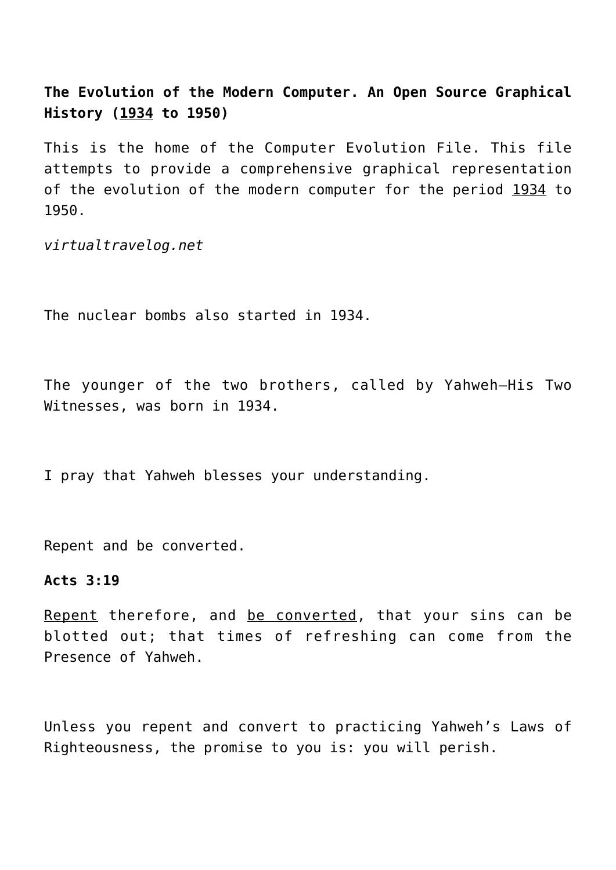**The Evolution of the Modern Computer. An Open Source Graphical History (1934 to 1950)**

This is the home of the Computer Evolution File. This file attempts to provide a comprehensive graphical representation of the evolution of the modern computer for the period 1934 to 1950.

*virtualtravelog.net*

The nuclear bombs also started in 1934.

The younger of the two brothers, called by Yahweh—His Two Witnesses, was born in 1934.

I pray that Yahweh blesses your understanding.

Repent and be converted.

#### **Acts 3:19**

Repent therefore, and be converted, that your sins can be blotted out; that times of refreshing can come from the Presence of Yahweh.

Unless you repent and convert to practicing Yahweh's Laws of Righteousness, the promise to you is: you will perish.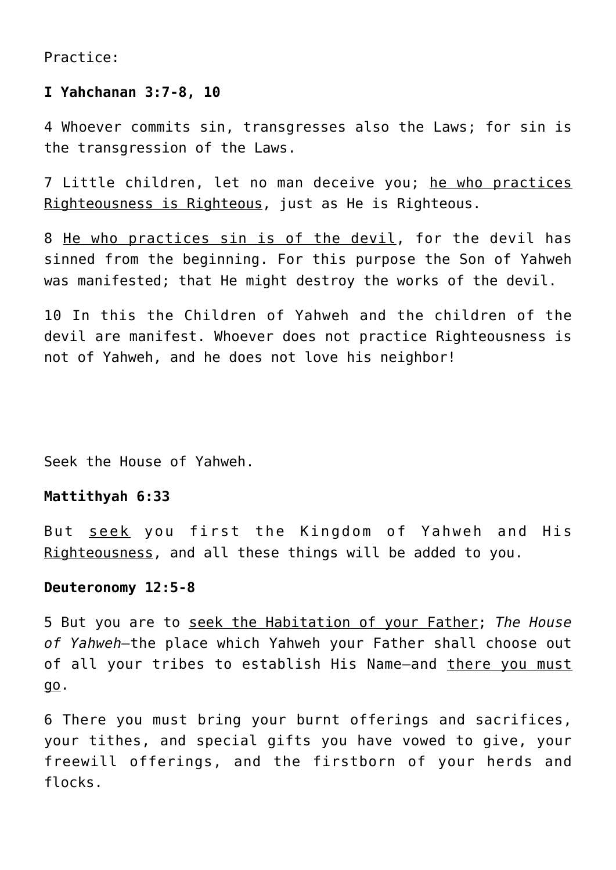Practice:

# **I Yahchanan 3:7-8, 10**

4 Whoever commits sin, transgresses also the Laws; for sin is the transgression of the Laws.

7 Little children, let no man deceive you; he who practices Righteousness is Righteous, just as He is Righteous.

8 He who practices sin is of the devil, for the devil has sinned from the beginning. For this purpose the Son of Yahweh was manifested; that He might destroy the works of the devil.

10 In this the Children of Yahweh and the children of the devil are manifest. Whoever does not practice Righteousness is not of Yahweh, and he does not love his neighbor!

Seek the House of Yahweh.

# **Mattithyah 6:33**

But seek you first the Kingdom of Yahweh and His Righteousness, and all these things will be added to you.

#### **Deuteronomy 12:5-8**

5 But you are to seek the Habitation of your Father; *The House of Yahweh—*the place which Yahweh your Father shall choose out of all your tribes to establish His Name-and there you must go.

6 There you must bring your burnt offerings and sacrifices, your tithes, and special gifts you have vowed to give, your freewill offerings, and the firstborn of your herds and flocks.